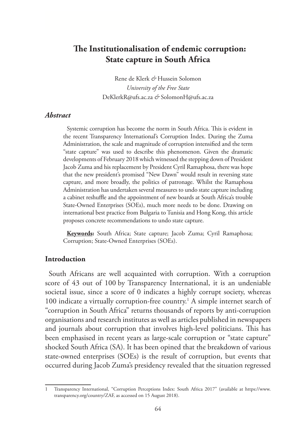# **The Institutionalisation of endemic corruption: State capture in South Africa**

Rene de Klerk *&* Hussein Solomon *University of the Free State* DeKlerkR@ufs.ac.za *&* SolomonH@ufs.ac.za

#### *Abstract*

Systemic corruption has become the norm in South Africa. This is evident in the recent Transparency International's Corruption Index. During the Zuma Administration, the scale and magnitude of corruption intensified and the term "state capture" was used to describe this phenomenon. Given the dramatic developments of February 2018 which witnessed the stepping down of President Jacob Zuma and his replacement by President Cyril Ramaphosa, there was hope that the new president's promised "New Dawn" would result in reversing state capture, and more broadly, the politics of patronage. Whilst the Ramaphosa Administration has undertaken several measures to undo state capture including a cabinet reshuffle and the appointment of new boards at South Africa's trouble State-Owned Enterprises (SOEs), much more needs to be done. Drawing on international best practice from Bulgaria to Tunisia and Hong Kong, this article proposes concrete recommendations to undo state capture.

**Keywords:** South Africa; State capture; Jacob Zuma; Cyril Ramaphosa; Corruption; State-Owned Enterprises (SOEs).

### **Introduction**

South Africans are well acquainted with corruption. With a corruption score of 43 out of 100 by Transparency International, it is an undeniable societal issue, since a score of 0 indicates a highly corrupt society, whereas 100 indicate a virtually corruption-free country.<sup>1</sup> A simple internet search of "corruption in South Africa" returns thousands of reports by anti-corruption organisations and research institutes as well as articles published in newspapers and journals about corruption that involves high-level politicians. This has been emphasised in recent years as large-scale corruption or "state capture" shocked South Africa (SA). It has been opined that the breakdown of various state-owned enterprises (SOEs) is the result of corruption, but events that occurred during Jacob Zuma's presidency revealed that the situation regressed

<sup>1</sup> Transparency International, "Corruption Perceptions Index: South Africa 2017" (available at https://www. transparency.org/country/ZAF, as accessed on 15 August 2018).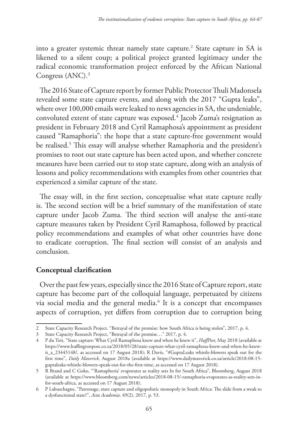into a greater systemic threat namely state capture.2 State capture in SA is likened to a silent coup; a political project granted legitimacy under the radical economic transformation project enforced by the African National Congress (ANC).<sup>3</sup>

The 2016 State of Capture report by former Public Protector Thuli Madonsela revealed some state capture events, and along with the 2017 "Gupta leaks", where over 100,000 emails were leaked to news agencies in SA, the undeniable, convoluted extent of state capture was exposed.4 Jacob Zuma's resignation as president in February 2018 and Cyril Ramaphosa's appointment as president caused "Ramaphoria": the hope that a state capture-free government would be realised.5 This essay will analyse whether Ramaphoria and the president's promises to root out state capture has been acted upon, and whether concrete measures have been carried out to stop state capture, along with an analysis of lessons and policy recommendations with examples from other countries that experienced a similar capture of the state.

The essay will, in the first section, conceptualise what state capture really is. The second section will be a brief summary of the manifestation of state capture under Jacob Zuma. The third section will analyse the anti-state capture measures taken by President Cyril Ramaphosa, followed by practical policy recommendations and examples of what other countries have done to eradicate corruption. The final section will consist of an analysis and conclusion.

# **Conceptual clarification**

Over the past few years, especially since the 2016 State of Capture report, state capture has become part of the colloquial language, perpetuated by citizens via social media and the general media.<sup>6</sup> It is a concept that encompasses aspects of corruption, yet differs from corruption due to corruption being

<sup>2</sup> State Capacity Research Project. "Betrayal of the promise: how South Africa is being stolen", 2017, p. 4.

<sup>3</sup> State Capacity Research Project, "Betrayal of the promise…" 2017, p. 4.

<sup>4</sup> P du Toit, "State capture: What Cyril Ramaphosa knew and when he knew it", *HuffPost*, May 2018 (available at https://www.huffingtonpost.co.za/2018/05/28/state-capture-what-cyril-ramaphosa-knew-and-when-he-knewit\_a\_23445148/, as accessed on 17 August 2018); R Davis, "#GuptaLeaks whistle-blowers speak out for the first time", *Daily Maverick*, August 2018a (available at https://www.dailymaverick.co.za/article/2018-08-15 guptaleaks-whistle-blowers-speak-out-for-the-first-time, as accessed on 17 August 2018).

<sup>5</sup> R Brand and C Goko, "'Ramaphoria' evaporates as reality sets In for South Africa", Bloomberg, August 2018 (available at https://www.bloomberg.com/news/articles/2018-08-15/-ramaphoria-evaporates-as-reality-sets-infor-south-africa, as accessed on 17 August 2018).

<sup>6</sup> P Labuschagne, "Patronage, state capture and oligopolistic monopoly in South Africa: The slide from a weak to a dysfunctional state?", *Acta Academia*, 49(2), 2017, p. 53.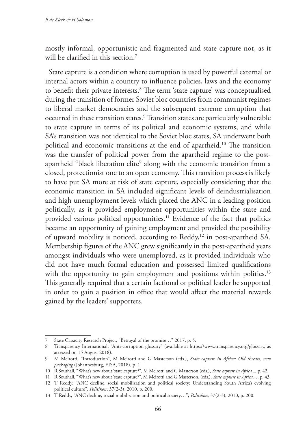mostly informal, opportunistic and fragmented and state capture not, as it will be clarified in this section.<sup>7</sup>

State capture is a condition where corruption is used by powerful external or internal actors within a country to influence policies, laws and the economy to benefit their private interests.<sup>8</sup> The term 'state capture' was conceptualised during the transition of former Soviet bloc countries from communist regimes to liberal market democracies and the subsequent extreme corruption that occurred in these transition states.9 Transition states are particularly vulnerable to state capture in terms of its political and economic systems, and while SA's transition was not identical to the Soviet bloc states, SA underwent both political and economic transitions at the end of apartheid.<sup>10</sup> The transition was the transfer of political power from the apartheid regime to the postapartheid "black liberation elite" along with the economic transition from a closed, protectionist one to an open economy. This transition process is likely to have put SA more at risk of state capture, especially considering that the economic transition in SA included significant levels of deindustrialisation and high unemployment levels which placed the ANC in a leading position politically, as it provided employment opportunities within the state and provided various political opportunities.<sup>11</sup> Evidence of the fact that politics became an opportunity of gaining employment and provided the possibility of upward mobility is noticed, according to Reddy,<sup>12</sup> in post-apartheid SA. Membership figures of the ANC grew significantly in the post-apartheid years amongst individuals who were unemployed, as it provided individuals who did not have much formal education and possessed limited qualifications with the opportunity to gain employment and positions within politics.<sup>13</sup> This generally required that a certain factional or political leader be supported in order to gain a position in office that would affect the material rewards gained by the leaders' supporters.

<sup>7</sup> State Capacity Research Project, "Betrayal of the promise…" 2017, p. 5.

<sup>8</sup> Transparency International, "Anti-corruption glossary" (available at https://www.transparency.org/glossary, as accessed on 15 August 2018).

<sup>9</sup> M Meirotti, "Introduction", M Meirotti and G Masterson (eds.), *State capture in Africa: Old threats, new packaging* (Johannesburg, EISA, 2018), p. 1.

<sup>10</sup> R Southall, "What's new about 'state capture?", M Meirotti and G Masterson (eds.), *State capture in Africa...,* p. 42.

<sup>11</sup> R Southall, "What's new about 'state capture?", M Meirotti and G Masterson, (eds.), *State capture in Africa…,* p. 43.

<sup>12</sup> T Reddy, "ANC decline, social mobilization and political society: Understanding South Africa's evolving political culture", *Politikon*, 37(2-3), 2010, p. 200.

<sup>13</sup> T Reddy, "ANC decline, social mobilization and political society…", *Politikon*, 37(2-3), 2010, p. 200.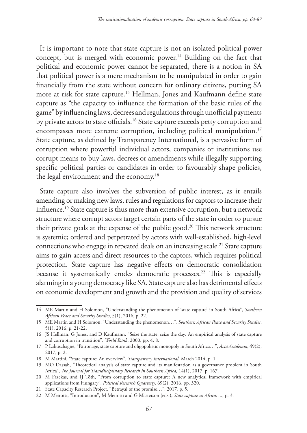It is important to note that state capture is not an isolated political power concept, but is merged with economic power.<sup>14</sup> Building on the fact that political and economic power cannot be separated, there is a notion in SA that political power is a mere mechanism to be manipulated in order to gain financially from the state without concern for ordinary citizens, putting SA more at risk for state capture.15 Hellman, Jones and Kaufmann define state capture as "the capacity to influence the formation of the basic rules of the game" by influencing laws, decrees and regulations through unofficial payments by private actors to state officials.<sup>16</sup> State capture exceeds petty corruption and encompasses more extreme corruption, including political manipulation.<sup>17</sup> State capture, as defined by Transparency International, is a pervasive form of corruption where powerful individual actors, companies or institutions use corrupt means to buy laws, decrees or amendments while illegally supporting specific political parties or candidates in order to favourably shape policies, the legal environment and the economy.<sup>18</sup>

State capture also involves the subversion of public interest, as it entails amending or making new laws, rules and regulations for captors to increase their influence.19 State capture is thus more than extensive corruption, but a network structure where corrupt actors target certain parts of the state in order to pursue their private goals at the expense of the public good.<sup>20</sup> This network structure is systemic; ordered and perpetrated by actors with well-established, high-level connections who engage in repeated deals on an increasing scale.<sup>21</sup> State capture aims to gain access and direct resources to the captors, which requires political protection. State capture has negative effects on democratic consolidation because it systematically erodes democratic processes.<sup>22</sup> This is especially alarming in a young democracy like SA. State capture also has detrimental effects on economic development and growth and the provision and quality of services

<sup>14</sup> ME Martin and H Solomon, "Understanding the phenomenon of 'state capture' in South Africa", *Southern African Peace and Security Studies*, 5(1), 2016, p. 22.

<sup>15</sup> ME Martin and H Solomon, "Understanding the phenomenon…", *Southern African Peace and Security Studies*, 5(1), 2016, p. 21-22.

<sup>16</sup> JS Hellman, G Jones, and D Kaufmann, "Seize the state, seize the day: An empirical analysis of state capture and corruption in transition", *World Bank*, 2000, pp. 4, 8.

<sup>17</sup> P Labuschagne, "Patronage, state capture and oligopolistic monopoly in South Africa…", *Acta Academia*, 49(2), 2017, p. 2.

<sup>18</sup> M Martini, "State capture: An overview", *Transparency International*, March 2014, p. 1.

<sup>19</sup> MO Dassah, "Theoretical analysis of state capture and its manifestation as a governance problem in South Africa", *The Journal for Transdisciplinary Research in Southern Africa,* 14(1), 2017, p. 167.

<sup>20</sup> M Fazekas, and IJ Tóth, "From corruption to state capture: A new analytical framework with empirical applications from Hungary", *Political Research Quarterly*, 69(2), 2016, pp. 320.

<sup>21</sup> State Capacity Research Project, "Betrayal of the promise…", 2017, p. 5.

<sup>22</sup> M Meirotti, "Introduction", M Meirotti and G Masterson (eds.), *State capture in Africa: ...*, p. 3.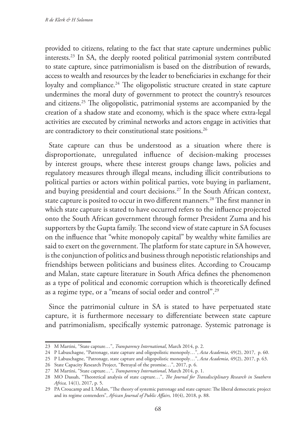provided to citizens, relating to the fact that state capture undermines public interests.23 In SA, the deeply rooted political patrimonial system contributed to state capture, since patrimonialism is based on the distribution of rewards, access to wealth and resources by the leader to beneficiaries in exchange for their loyalty and compliance.<sup>24</sup> The oligopolistic structure created in state capture undermines the moral duty of government to protect the country's resources and citizens.25 The oligopolistic, patrimonial systems are accompanied by the creation of a shadow state and economy, which is the space where extra-legal activities are executed by criminal networks and actors engage in activities that are contradictory to their constitutional state positions.<sup>26</sup>

State capture can thus be understood as a situation where there is disproportionate, unregulated influence of decision-making processes by interest groups, where these interest groups change laws, policies and regulatory measures through illegal means, including illicit contributions to political parties or actors within political parties, vote buying in parliament, and buying presidential and court decisions.27 In the South African context, state capture is posited to occur in two different manners.<sup>28</sup> The first manner in which state capture is stated to have occurred refers to the influence projected onto the South African government through former President Zuma and his supporters by the Gupta family. The second view of state capture in SA focuses on the influence that "white monopoly capital" by wealthy white families are said to exert on the government. The platform for state capture in SA however, is the conjunction of politics and business through nepotistic relationships and friendships between politicians and business elites. According to Croucamp and Malan, state capture literature in South Africa defines the phenomenon as a type of political and economic corruption which is theoretically defined as a regime type, or a "means of social order and control".29

Since the patrimonial culture in SA is stated to have perpetuated state capture, it is furthermore necessary to differentiate between state capture and patrimonialism, specifically systemic patronage. Systemic patronage is

<sup>23</sup> M Martini, "State capture…", *Transparency International*, March 2014, p. 2.

<sup>24</sup> P Labuschagne, "Patronage, state capture and oligopolistic monopoly…", *Acta Academia*, 49(2), 2017, p. 60.

<sup>25</sup> P Labuschagne, "Patronage, state capture and oligopolistic monopoly…", *Acta Academia*, 49(2), 2017, p. 63.

<sup>26</sup> State Capacity Research Project, "Betrayal of the promise…", 2017, p. 6.

<sup>27</sup> M Martini, "State capture…", *Transparency International*, March 2014, p. 1.

<sup>28</sup> MO Dassah, "Theoretical analysis of state capture…", *The Journal for Transdisciplinary Research in Southern Africa,* 14(1), 2017, p. 5.

<sup>29</sup> PA Croucamp and L Malan, "The theory of systemic patronage and state capture: The liberal democratic project and its regime contenders", *African Journal of Public Affairs,* 10(4), 2018, p. 88.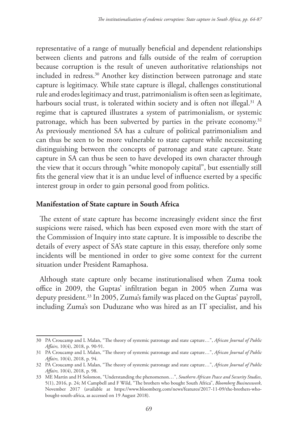representative of a range of mutually beneficial and dependent relationships between clients and patrons and falls outside of the realm of corruption because corruption is the result of uneven authoritative relationships not included in redress.<sup>30</sup> Another key distinction between patronage and state capture is legitimacy. While state capture is illegal, challenges constitutional rule and erodes legitimacy and trust, patrimonialism is often seen as legitimate, harbours social trust, is tolerated within society and is often not illegal.<sup>31</sup> A regime that is captured illustrates a system of patrimonialism, or systemic patronage, which has been subverted by parties in the private economy.<sup>32</sup> As previously mentioned SA has a culture of political patrimonialism and can thus be seen to be more vulnerable to state capture while necessitating distinguishing between the concepts of patronage and state capture. State capture in SA can thus be seen to have developed its own character through the view that it occurs through "white monopoly capital", but essentially still fits the general view that it is an undue level of influence exerted by a specific interest group in order to gain personal good from politics.

## **Manifestation of State capture in South Africa**

The extent of state capture has become increasingly evident since the first suspicions were raised, which has been exposed even more with the start of the Commission of Inquiry into state capture. It is impossible to describe the details of every aspect of SA's state capture in this essay, therefore only some incidents will be mentioned in order to give some context for the current situation under President Ramaphosa.

Although state capture only became institutionalised when Zuma took office in 2009, the Guptas' infiltration began in 2005 when Zuma was deputy president.<sup>33</sup> In 2005, Zuma's family was placed on the Guptas' payroll, including Zuma's son Duduzane who was hired as an IT specialist, and his

<sup>30</sup> PA Croucamp and L Malan, "The theory of systemic patronage and state capture…", *African Journal of Public Affairs,* 10(4), 2018, p. 90-91.

<sup>31</sup> PA Croucamp and L Malan, "The theory of systemic patronage and state capture…", *African Journal of Public Affairs,* 10(4), 2018, p. 94.

<sup>32</sup> PA Croucamp and L Malan, "The theory of systemic patronage and state capture…", *African Journal of Public Affairs,* 10(4), 2018, p. 98.

<sup>33</sup> ME Martin and H Solomon, "Understanding the phenomenon…", *Southern African Peace and Security Studies*, 5(1), 2016, p. 24; M Campbell and F Wild, "The brothers who bought South Africa", *Bloomberg Businessweek*, November 2017 (available at https://www.bloomberg.com/news/features/2017-11-09/the-brothers-whobought-south-africa, as accessed on 19 August 2018).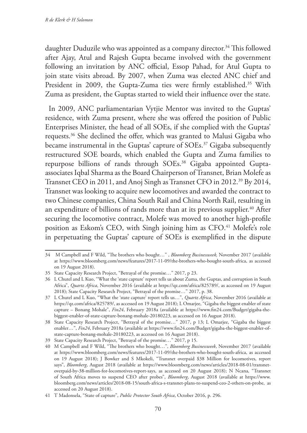daughter Duduzile who was appointed as a company director.<sup>34</sup> This followed after Ajay, Atul and Rajesh Gupta became involved with the government following an invitation by ANC official, Essop Pahad, for Atul Gupta to join state visits abroad. By 2007, when Zuma was elected ANC chief and President in 2009, the Gupta-Zuma ties were firmly established.<sup>35</sup> With Zuma as president, the Guptas started to wield their influence over the state.

In 2009, ANC parliamentarian Vytjie Mentor was invited to the Guptas' residence, with Zuma present, where she was offered the position of Public Enterprises Minister, the head of all SOEs, if she complied with the Guptas' requests.36 She declined the offer, which was granted to Malusi Gigaba who became instrumental in the Guptas' capture of SOEs.<sup>37</sup> Gigaba subsequently restructured SOE boards, which enabled the Gupta and Zuma families to repurpose billions of rands through SOEs.<sup>38</sup> Gigaba appointed Guptaassociates Iqbal Sharma as the Board Chairperson of Transnet, Brian Molefe as Transnet CEO in 2011, and Anoj Singh as Transnet CFO in 2012.39 By 2014, Transnet was looking to acquire new locomotives and awarded the contract to two Chinese companies, China South Rail and China North Rail, resulting in an expenditure of billions of rands more than at its previous supplier.<sup>40</sup> After securing the locomotive contract, Molefe was moved to another high-profile position as Eskom's CEO, with Singh joining him as CFO.<sup>41</sup> Molefe's role in perpetuating the Guptas' capture of SOEs is exemplified in the dispute

<sup>34</sup> M Campbell and F Wild, "The brothers who bought…" , *Bloomberg Businessweek,* November 2017 (available at https://www.bloomberg.com/news/features/2017-11-09/the-brothers-who-bought-south-africa, as accessed on 19 August 2018).

<sup>35</sup> State Capacity Research Project, "Betrayal of the promise…" 2017, p 23.

<sup>36</sup> L Chutel and L Kuo, "What the 'state capture' report tells us about Zuma, the Guptas, and corruption in South Africa", *Quartz Africa*, November 2016 (available at https://qz.com/africa/825789/, as accessed on 19 August 2018); State Capacity Research Project, "Betrayal of the promise…" 2017, p. 38.

<sup>37</sup> L Chutel and L Kuo, "What the 'state capture' report tells us…", *Quartz Africa*, November 2016 (available at https://qz.com/africa/825789/, as accessed on 19 August 2018); L Omarjee, "Gigaba the biggest enabler of state capture – Bonang Mohale", *Fin24*, February 2018a (available at https://www.fin24.com/Budget/gigaba-thebiggest-enabler-of-state-capture-bonang-mohale-20180223, as accessed on 16 August 2018).

<sup>38</sup> State Capacity Research Project, "Betrayal of the promise…" 2017, p 13; L Omarjee, "Gigaba the biggest enabler…", *Fin24*, February 2018a (available at https://www.fin24.com/Budget/gigaba-the-biggest-enabler-ofstate-capture-bonang-mohale-20180223, as accessed on 16 August 2018).

<sup>39</sup> State Capacity Research Project, "Betrayal of the promise…" 2017, p 15.

<sup>40</sup> M Campbell and F Wild, "The brothers who bought…", *Bloomberg Businessweek*, November 2017 (available at https://www.bloomberg.com/news/features/2017-11-09/the-brothers-who-bought-south-africa, as accessed on 19 August 2018); J Bowker and S Mkokeli, "Transnet overpaid \$38 Million for locomotives, report says", *Bloomberg*, August 2018 (available at https://www.bloomberg.com/news/articles/2018-08-01/transnetoverpaid-by-38-million-for-locomotives-report-says, as accessed on 20 August 2018); N Ncana, "Transnet of South Africa moves to suspend CEO after probes", *Bloomberg*, August 2018 (available at https://www. bloomberg.com/news/articles/2018-08-15/south-africa-s-transnet-plans-to-suspend-ceo-2-others-on-probe, as accessed on 20 August 2018).

<sup>41</sup> T Madonsela, "State of capture", *Public Protector South Africa*, October 2016, p. 296.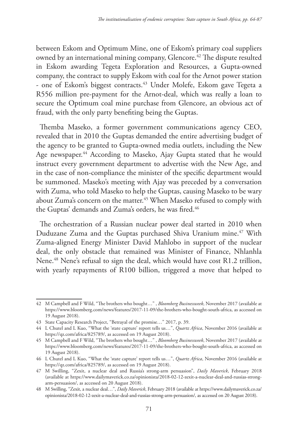between Eskom and Optimum Mine, one of Eskom's primary coal suppliers owned by an international mining company, Glencore.<sup>42</sup> The dispute resulted in Eskom awarding Tegeta Exploration and Resources, a Gupta-owned company, the contract to supply Eskom with coal for the Arnot power station - one of Eskom's biggest contracts.<sup>43</sup> Under Molefe, Eskom gave Tegeta a R556 million pre-payment for the Arnot-deal, which was really a loan to secure the Optimum coal mine purchase from Glencore, an obvious act of fraud, with the only party benefiting being the Guptas.

Themba Maseko, a former government communications agency CEO, revealed that in 2010 the Guptas demanded the entire advertising budget of the agency to be granted to Gupta-owned media outlets, including the New Age newspaper.<sup>44</sup> According to Maseko, Ajay Gupta stated that he would instruct every government department to advertise with the New Age, and in the case of non-compliance the minister of the specific department would be summoned. Maseko's meeting with Ajay was preceded by a conversation with Zuma, who told Maseko to help the Guptas, causing Maseko to be wary about Zuma's concern on the matter.<sup>45</sup> When Maseko refused to comply with the Guptas' demands and Zuma's orders, he was fired.<sup>46</sup>

The orchestration of a Russian nuclear power deal started in 2010 when Duduzane Zuma and the Guptas purchased Shiva Uranium mine.<sup>47</sup> With Zuma-aligned Energy Minister David Mahlobo in support of the nuclear deal, the only obstacle that remained was Minister of Finance, Nhlanhla Nene.<sup>48</sup> Nene's refusal to sign the deal, which would have cost R1.2 trillion, with yearly repayments of R100 billion, triggered a move that helped to

<sup>42</sup> M Campbell and F Wild, "The brothers who bought…" , *Bloomberg Businessweek*, November 2017 (available at https://www.bloomberg.com/news/features/2017-11-09/the-brothers-who-bought-south-africa, as accessed on 19 August 2018).

<sup>43</sup> State Capacity Research Project, "Betrayal of the promise…" 2017, p. 39.

<sup>44</sup> L Chutel and L Kuo, "What the 'state capture' report tells us…", *Quartz Africa*, November 2016 (available at https://qz.com/africa/825789/, as accessed on 19 August 2018).

<sup>45</sup> M Campbell and F Wild, "The brothers who bought…" , *Bloomberg Businessweek*, November 2017 (available at https://www.bloomberg.com/news/features/2017-11-09/the-brothers-who-bought-south-africa, as accessed on 19 August 2018).

<sup>46</sup> L Chutel and L Kuo, "What the 'state capture' report tells us…", *Quartz Africa*, November 2016 (available at https://qz.com/africa/825789/, as accessed on 19 August 2018).

<sup>47</sup> M Swilling, "Zexit, a nuclear deal and Russia's strong-arm persuasion", *Daily Maverick*, February 2018 (available at https://www.dailymaverick.co.za/opinionista/2018-02-12-zexit-a-nuclear-deal-and-russias-strongarm-persuasion/, as accessed on 20 August 2018).

<sup>48</sup> M Swilling, "Zexit, a nuclear deal…", *Daily Maverick*, February 2018 (available at https://www.dailymaverick.co.za/ opinionista/2018-02-12-zexit-a-nuclear-deal-and-russias-strong-arm-persuasion/, as accessed on 20 August 2018).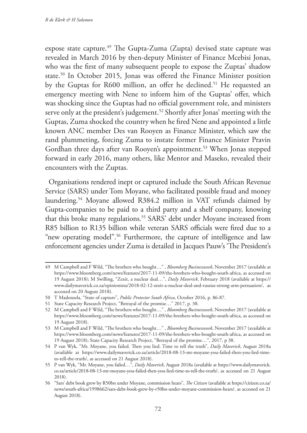expose state capture.<sup>49</sup> The Gupta-Zuma (Zupta) devised state capture was revealed in March 2016 by then-deputy Minister of Finance Mcebisi Jonas, who was the first of many subsequent people to expose the Zuptas' shadow state.50 In October 2015, Jonas was offered the Finance Minister position by the Guptas for R600 million, an offer he declined.<sup>51</sup> He requested an emergency meeting with Nene to inform him of the Guptas' offer, which was shocking since the Guptas had no official government role, and ministers serve only at the president's judgement.<sup>52</sup> Shortly after Jonas' meeting with the Guptas, Zuma shocked the country when he fired Nene and appointed a little known ANC member Des van Rooyen as Finance Minister, which saw the rand plummeting, forcing Zuma to instate former Finance Minister Pravin Gordhan three days after van Rooyen's appointment.<sup>53</sup> When Jonas stepped forward in early 2016, many others, like Mentor and Maseko, revealed their encounters with the Zuptas.

Organisations rendered inept or captured include the South African Revenue Service (SARS) under Tom Moyane, who facilitated possible fraud and money laundering.54 Moyane allowed R384.2 million in VAT refunds claimed by Gupta-companies to be paid to a third party and a shelf company, knowing that this broke many regulations.<sup>55</sup> SARS' debt under Moyane increased from R85 billion to R135 billion while veteran SARS officials were fired due to a "new operating model".56 Furthermore, the capture of intelligence and law enforcement agencies under Zuma is detailed in Jacques Pauw's 'The President's

<sup>49</sup> M Campbell and F Wild, "The brothers who bought…" , *Bloomberg Businessweek*, November 2017 (available at https://www.bloomberg.com/news/features/2017-11-09/the-brothers-who-bought-south-africa, as accessed on 19 August 2018); M Swilling, "Zexit, a nuclear deal…", *Daily Maverick*, February 2018 (available at https:// www.dailymaverick.co.za/opinionista/2018-02-12-zexit-a-nuclear-deal-and-russias-strong-arm-persuasion/, as accessed on 20 August 2018).

<sup>50</sup> T Madonsela, "State of capture", *Public Protector South Africa*, October 2016, p. 86-87.

<sup>51</sup> State Capacity Research Project, "Betrayal of the promise…" 2017, p. 38.

<sup>52</sup> M Campbell and F Wild, "The brothers who bought…" , *Bloomberg Businessweek*, November 2017 (available at https://www.bloomberg.com/news/features/2017-11-09/the-brothers-who-bought-south-africa, as accessed on 19 August 2018).

<sup>53</sup> M Campbell and F Wild, "The brothers who bought…" , *Bloomberg Businessweek*, November 2017 (available at https://www.bloomberg.com/news/features/2017-11-09/the-brothers-who-bought-south-africa, as accessed on 19 August 2018); State Capacity Research Project, "Betrayal of the promise…", 2017, p 38.

<sup>54</sup> P van Wyk, "Mr. Moyane, you failed. Then you lied. Time to tell the truth", *Daily Maverick*, August 2018a (available at https://www.dailymaverick.co.za/article/2018-08-13-mr-moyane-you-failed-then-you-lied-timeto-tell-the-truth/, as accessed on 21 August 2018).

<sup>55</sup> P van Wyk, "Mr. Moyane, you failed…", *Daily Maverick*, August 2018a (available at https://www.dailymaverick. co.za/article/2018-08-13-mr-moyane-you-failed-then-you-lied-time-to-tell-the-truth/, as accessed on 21 August 2018).

<sup>56</sup> "Sars' debt book grew by R50bn under Moyane, commission hears", *The Citizen* (available at https://citizen.co.za/ news/south-africa/1998662/sars-debt-book-grew-by-r50bn-under-moyane-commission-hears/, as accessed on 21 August 2018).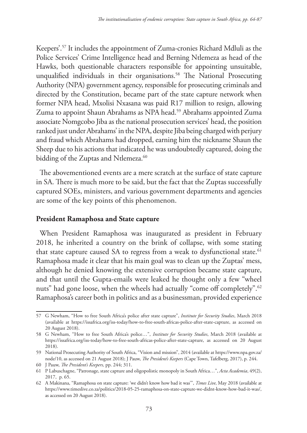Keepers'.57 It includes the appointment of Zuma-cronies Richard Mdluli as the Police Services' Crime Intelligence head and Berning Ntlemeza as head of the Hawks, both questionable characters responsible for appointing unsuitable, unqualified individuals in their organisations.<sup>58</sup> The National Prosecuting Authority (NPA) government agency, responsible for prosecuting criminals and directed by the Constitution, became part of the state capture network when former NPA head, Mxolisi Nxasana was paid R17 million to resign, allowing Zuma to appoint Shaun Abrahams as NPA head.59 Abrahams appointed Zuma associate Nomgcobo Jiba as the national prosecution services' head, the position ranked just under Abrahams' in the NPA, despite Jiba being charged with perjury and fraud which Abrahams had dropped, earning him the nickname Shaun the Sheep due to his actions that indicated he was undoubtedly captured, doing the bidding of the Zuptas and Ntlemeza.<sup>60</sup>

The abovementioned events are a mere scratch at the surface of state capture in SA. There is much more to be said, but the fact that the Zuptas successfully captured SOEs, ministers, and various government departments and agencies are some of the key points of this phenomenon.

### **President Ramaphosa and State capture**

When President Ramaphosa was inaugurated as president in February 2018, he inherited a country on the brink of collapse, with some stating that state capture caused SA to regress from a weak to dysfunctional state.<sup>61</sup> Ramaphosa made it clear that his main goal was to clean up the Zuptas' mess, although he denied knowing the extensive corruption became state capture, and that until the Gupta-emails were leaked he thought only a few "wheel nuts" had gone loose, when the wheels had actually "come off completely".<sup>62</sup> Ramaphosa's career both in politics and as a businessman, provided experience

<sup>57</sup> G Newham, "How to free South Africa's police after state capture", *Institute for Security Studies*, March 2018 (available at https://issafrica.org/iss-today/how-to-free-south-africas-police-after-state-capture, as accessed on 20 August 2018).

<sup>58</sup> G Newham, "How to free South Africa's police…", *Institute for Security Studies*, March 2018 (available at https://issafrica.org/iss-today/how-to-free-south-africas-police-after-state-capture, as accessed on 20 August 2018).

<sup>59</sup> National Prosecuting Authority of South Africa, "Vision and mission", 2014 (available at https://www.npa.gov.za/ node/10, as accessed on 21 August 2018); J Pauw, *The President's Keepers* (Cape Town, Tafelberg, 2017), p. 244.

<sup>60</sup> J Pauw, *The President's Keepers,* pp. 244; 311.

<sup>61</sup> P Labuschagne, "Patronage, state capture and oligopolistic monopoly in South Africa…", *Acta Academia*, 49(2), 2017, p. 65.

<sup>62</sup> A Makinana, "Ramaphosa on state capture: 'we didn't know how bad it was'", *Times Live*, May 2018 (available at https://www.timeslive.co.za/politics/2018-05-25-ramaphosa-on-state-capture-we-didnt-know-how-bad-it-was/, as accessed on 20 August 2018).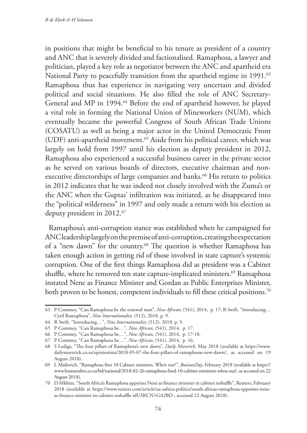in positions that might be beneficial to his tenure as president of a country and ANC that is severely divided and factionalised. Ramaphosa, a lawyer and politician, played a key role as negotiator between the ANC and apartheid era National Party to peacefully transition from the apartheid regime in 1991.<sup>63</sup> Ramaphosa thus has experience in navigating very uncertain and divided political and social situations. He also filled the role of ANC Secretary-General and MP in 1994.<sup>64</sup> Before the end of apartheid however, he played a vital role in forming the National Union of Mineworkers (NUM), which eventually became the powerful Congress of South African Trade Unions (COSATU) as well as being a major actor in the United Democratic Front (UDF) anti-apartheid movement.65 Aside from his political career, which was largely on hold from 1997 until his election as deputy president in 2012, Ramaphosa also experienced a successful business career in the private sector as he served on various boards of directors, executive chairman and nonexecutive directorships of large companies and banks.<sup>66</sup> His return to politics in 2012 indicates that he was indeed not closely involved with the Zuma's or the ANC when the Guptas' infiltration was initiated, as he disappeared into the "political wilderness" in 1997 and only made a return with his election as deputy president in 2012.<sup>67</sup>

Ramaphosa's anti-corruption stance was established when he campaigned for ANC leadership largely on the premise of anti-corruption, creating the expectation of a "new dawn" for the country.68 The question is whether Ramaphosa has taken enough action in getting rid of those involved in state capture's systemic corruption. One of the first things Ramaphosa did as president was a Cabinet shuffle, where he removed ten state capture-implicated ministers.<sup>69</sup> Ramaphosa instated Nene as Finance Minister and Gordan as Public Enterprises Minister, both proven to be honest, competent individuals to fill these critical positions.<sup>70</sup>

<sup>63</sup> P Commey, "Can Ramaphosa be the renewal man", *New African*, (541), 2014, p. 17; R Swift, "Introducing… Cyril Ramaphosa", *New Internationalist*, (512), 2018, p. 9.

<sup>64</sup> R Swift, "Introducing…", *New Internationalist*, (512), 2018, p. 9.

<sup>65</sup> P Commey, "Can Ramaphosa be…", *New African*, (541), 2014, p. 17.

<sup>66</sup> P Commey, "Can Ramaphosa be…", *New African*, (541), 2014, p. 17-18.

<sup>67</sup> P Commey, "Can Ramaphosa be…", *New African*, (541), 2014, p. 16.

<sup>68</sup> S Lediga, "The four pillars of Ramaphosa's new dawn", *Daily Maverick*, May 2018 (available at https://www. dailymaverick.co.za/opinionista/2018-05-07-the-four-pillars-of-ramaphosas-new-dawn/, as accessed on 19 August 2018).

<sup>69</sup> L Mailovich, "Ramaphosa fires 10 Cabinet ministers. Who's out?", *BusinessDay*, February 2018 (available at https:// www.businesslive.co.za/bd/national/2018-02-26-ramaphosa-fired-10-cabinet-ministers-whos-out/, as accessed on 22 August 2018).

<sup>70</sup> D Mkhize, "South Africa's Ramaphosa appoints Nene as finance minister in cabinet reshuffle", Reuters, February 2018 (available at https://www.reuters.com/article/us-safrica-politics/south-africas-ramaphosa-appoints-neneas-finance-minister-in-cabinet-reshuffle-idUSKCN1GA2BD , accessed 22 August 2018).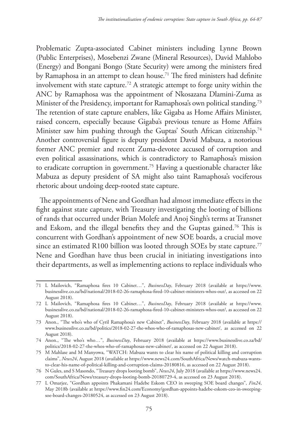Problematic Zupta-associated Cabinet ministers including Lynne Brown (Public Enterprises), Mosebenzi Zwane (Mineral Resources), David Mahlobo (Energy) and Bongani Bongo (State Security) were among the ministers fired by Ramaphosa in an attempt to clean house.<sup>71</sup> The fired ministers had definite involvement with state capture.<sup>72</sup> A strategic attempt to forge unity within the ANC by Ramaphosa was the appointment of Nkosazana Dlamini-Zuma as Minister of the Presidency, important for Ramaphosa's own political standing.<sup>73</sup> The retention of state capture enablers, like Gigaba as Home Affairs Minister, raised concern, especially because Gigaba's previous tenure as Home Affairs Minister saw him pushing through the Guptas' South African citizenship.<sup>74</sup> Another controversial figure is deputy president David Mabuza, a notorious former ANC premier and recent Zuma-devotee accused of corruption and even political assassinations, which is contradictory to Ramaphosa's mission to eradicate corruption in government.75 Having a questionable character like Mabuza as deputy president of SA might also taint Ramaphosa's vociferous rhetoric about undoing deep-rooted state capture.

The appointments of Nene and Gordhan had almost immediate effects in the fight against state capture, with Treasury investigating the looting of billions of rands that occurred under Brian Molefe and Anoj Singh's terms at Transnet and Eskom, and the illegal benefits they and the Guptas gained.76 This is concurrent with Gordhan's appointment of new SOE boards, a crucial move since an estimated R100 billion was looted through SOEs by state capture.<sup>77</sup> Nene and Gordhan have thus been crucial in initiating investigations into their departments, as well as implementing actions to replace individuals who

<sup>71</sup> L Mailovich, "Ramaphosa fires 10 Cabinet…", *BusinessDay*, February 2018 (available at https://www. businesslive.co.za/bd/national/2018-02-26-ramaphosa-fired-10-cabinet-ministers-whos-out/, as accessed on 22 August 2018).

<sup>72</sup> L Mailovich, "Ramaphosa fires 10 Cabinet…", *BusinessDay*, February 2018 (available at https://www. businesslive.co.za/bd/national/2018-02-26-ramaphosa-fired-10-cabinet-ministers-whos-out/, as accessed on 22 August 2018).

<sup>73</sup> Anon., "The who's who of Cyril Ramaphosa's new Cabinet", *BusinessDay*, February 2018 (available at https:// www.businesslive.co.za/bd/politics/2018-02-27-the-whos-who-of-ramaphosas-new-cabinet/, as accessed on 22 August 2018).

<sup>74</sup> Anon., "The who's who…", *BusinessDay*, February 2018 (available at https://www.businesslive.co.za/bd/ politics/2018-02-27-the-whos-who-of-ramaphosas-new-cabinet/, as accessed on 22 August 2018).

<sup>75</sup> M Mahlase and M Manyowa, "WATCH: Mabuza wants to clear his name of political killing and corruption claims", *News24*, August 2018 (available at https://www.news24.com/SouthAfrica/News/watch-mabuza-wantsto-clear-his-name-of-political-killing-and-corruption-claims-20180816, as accessed on 22 August 2018).

<sup>76</sup> N Gules, and S Masondo, "Treasury drops looting bomb", *News24*, July 2018 (available at https://www.news24. com/SouthAfrica/News/treasury-drops-looting-bomb-20180729-4, as accessed on 23 August 2018).

<sup>77</sup> L Omarjee, "Gordhan appoints Phakamani Hadebe Eskom CEO in sweeping SOE board changes", *Fin24*, May 2018b (available at https://www.fin24.com/Economy/gordhan-appoints-hadebe-eskom-ceo-in-sweepingsoe-board-changes-20180524, as accessed on 23 August 2018).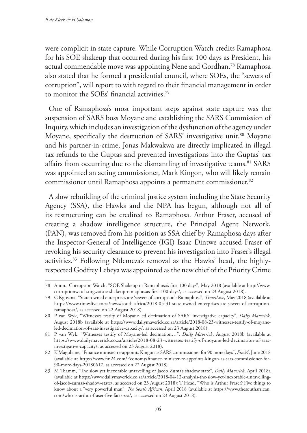were complicit in state capture. While Corruption Watch credits Ramaphosa for his SOE shakeup that occurred during his first 100 days as President, his actual commendable move was appointing Nene and Gordhan.78 Ramaphosa also stated that he formed a presidential council, where SOEs, the "sewers of corruption", will report to with regard to their financial management in order to monitor the SOEs' financial activities.79

One of Ramaphosa's most important steps against state capture was the suspension of SARS boss Moyane and establishing the SARS Commission of Inquiry, which includes an investigation of the dysfunction of the agency under Moyane, specifically the destruction of SARS' investigative unit.<sup>80</sup> Moyane and his partner-in-crime, Jonas Makwakwa are directly implicated in illegal tax refunds to the Guptas and prevented investigations into the Guptas' tax affairs from occurring due to the dismantling of investigative teams.<sup>81</sup> SARS was appointed an acting commissioner, Mark Kingon, who will likely remain commissioner until Ramaphosa appoints a permanent commissioner.<sup>82</sup>

A slow rebuilding of the criminal justice system including the State Security Agency (SSA), the Hawks and the NPA has begun, although not all of its restructuring can be credited to Ramaphosa. Arthur Fraser, accused of creating a shadow intelligence structure, the Principal Agent Network, (PAN), was removed from his position as SSA chief by Ramaphosa days after the Inspector-General of Intelligence (IGI) Isaac Dintwe accused Fraser of revoking his security clearance to prevent his investigation into Fraser's illegal activities.83 Following Ntlemeza's removal as the Hawks' head, the highlyrespected Godfrey Lebeya was appointed as the new chief of the Priority Crime

<sup>78</sup> Anon., Corruption Watch, "SOE Shakeup in Ramaphosa's first 100 days", May 2018 (available at http://www. corruptionwatch.org.za/soe-shakeup-ramaphosas-first-100-days/, as accessed on 23 August 2018).

<sup>79</sup> C Kgosana, "State-owned enterprises are 'sewers of corruption': Ramaphosa", *TimesLive*, May 2018 (available at https://www.timeslive.co.za/news/south-africa/2018-05-31-state-owned-enterprises-are-sewers-of-corruptionramaphosa/, as accessed on 22 August 2018).

<sup>80</sup> P van Wyk, "Witnesses testify of Moyane-led decimation of SARS' investigative capacity", *Daily Maverick*, August 2018b (available at https://www.dailymaverick.co.za/article/2018-08-23-witnesses-testify-of-moyaneled-decimation-of-sars-investigative-capacity/, as accessed on 23 August 2018).

<sup>81</sup> P van Wyk, "Witnesses testify of Moyane-led decimation…", *Daily Maverick*, August 2018b (available at https://www.dailymaverick.co.za/article/2018-08-23-witnesses-testify-of-moyane-led-decimation-of-sarsinvestigative-capacity/, as accessed on 23 August 2018).

<sup>82</sup> K Magubane, "Finance minister re-appoints Kingon as SARS commissioner for 90 more days", *Fin24*, June 2018 (available at https://www.fin24.com/Economy/finance-minister-re-appoints-kingon-as-sars-commissioner-for-90-more-days-20180617, as accessed on 22 August 2018).

<sup>83</sup> M Thamm, "The slow yet inexorable unravelling of Jacob Zuma's shadow state", *Daily Maverick*, April 2018a (available at https://www.dailymaverick.co.za/article/2018-04-12-analysis-the-slow-yet-inexorable-unravellingof-jacob-zumas-shadow-state/, as accessed on 23 August 2018); T Head, "Who is Arthur Fraser? Five things to know about a "very powerful man", *The South African*, April 2018 (available at https://www.thesouthafrican. com/who-is-arthur-fraser-five-facts-ssa/, as accessed on 23 August 2018).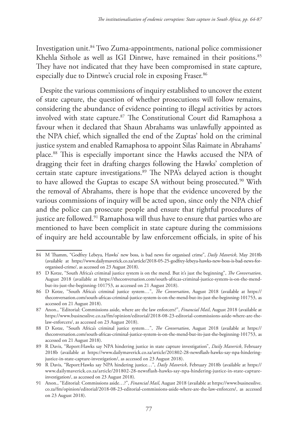Investigation unit.84 Two Zuma-appointments, national police commissioner Khehla Sithole as well as IGI Dintwe, have remained in their positions.<sup>85</sup> They have not indicated that they have been compromised in state capture, especially due to Dintwe's crucial role in exposing Fraser.<sup>86</sup>

Despite the various commissions of inquiry established to uncover the extent of state capture, the question of whether prosecutions will follow remains, considering the abundance of evidence pointing to illegal activities by actors involved with state capture.<sup>87</sup> The Constitutional Court did Ramaphosa a favour when it declared that Shaun Abrahams was unlawfully appointed as the NPA chief, which signalled the end of the Zuptas' hold on the criminal justice system and enabled Ramaphosa to appoint Silas Raimate in Abrahams' place.88 This is especially important since the Hawks accused the NPA of dragging their feet in drafting charges following the Hawks' completion of certain state capture investigations.<sup>89</sup> The NPA's delayed action is thought to have allowed the Guptas to escape SA without being prosecuted.<sup>90</sup> With the removal of Abrahams, there is hope that the evidence uncovered by the various commissions of inquiry will be acted upon, since only the NPA chief and the police can prosecute people and ensure that rightful procedures of justice are followed.<sup>91</sup> Ramaphosa will thus have to ensure that parties who are mentioned to have been complicit in state capture during the commissions of inquiry are held accountable by law enforcement officials, in spite of his

<sup>84</sup> M Thamm, "Godfrey Lebeya, Hawks' new boss, is bad news for organised crime", *Daily Maverick*, May 2018b (available at https://www.dailymaverick.co.za/article/2018-05-25-godfrey-lebeya-hawks-new-boss-is-bad-news-fororganised-crime/, as accessed on 23 August 2018).

<sup>85</sup> D Kotze, "South Africa's criminal justice system is on the mend. But it's just the beginning", *The Conversation*, August 2018 (available at https://theconversation.com/south-africas-criminal-justice-system-is-on-the-mendbut-its-just-the-beginning-101753, as accessed on 21 August 2018).

<sup>86</sup> D Kotze, "South Africa's criminal justice system…", *The Conversation*, August 2018 (available at https:// theconversation.com/south-africas-criminal-justice-system-is-on-the-mend-but-its-just-the-beginning-101753, as accessed on 21 August 2018).

<sup>87</sup> Anon., "Editorial: Commissions aside, where are the law enforcers?", *Financial Mail*, August 2018 (available at https://www.businesslive.co.za/fm/opinion/editorial/2018-08-23-editorial-commissions-aside-where-are-thelaw-enforcers/, as accessed on 23 August 2018).

<sup>88</sup> D Kotze, "South Africa's criminal justice system…", *The Conversation*, August 2018 (available at https:// theconversation.com/south-africas-criminal-justice-system-is-on-the-mend-but-its-just-the-beginning-101753, as accessed on 21 August 2018).

<sup>89</sup> R Davis, "Report:Hawks say NPA hindering justice in state capture investigation", *Daily Maverick*, February 2018b (available at https://www.dailymaverick.co.za/article/201802-28-newsflash-hawks-say-npa-hinderingjustice-in-state-capture-investigation/, as accessed on 23 August 2018).

<sup>90</sup> R Davis, "Report:Hawks say NPA hindering justice…", *Daily Maverick*, February 2018b (available at https:// www.dailymaverick.co.za/article/201802-28-newsflash-hawks-say-npa-hindering-justice-in-state-captureinvestigation/, as accessed on 23 August 2018).

<sup>91</sup> Anon., "Editorial: Commissions aside…?", *Financial Mail*, August 2018 (available at https://www.businesslive. co.za/fm/opinion/editorial/2018-08-23-editorial-commissions-aside-where-are-the-law-enforcers/, as accessed on 23 August 2018).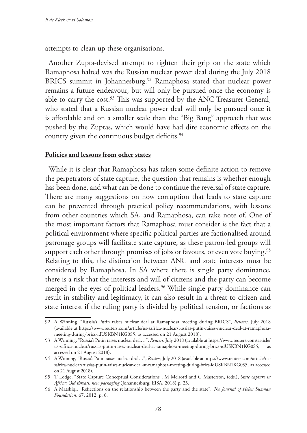attempts to clean up these organisations.

Another Zupta-devised attempt to tighten their grip on the state which Ramaphosa halted was the Russian nuclear power deal during the July 2018 BRICS summit in Johannesburg.92 Ramaphosa stated that nuclear power remains a future endeavour, but will only be pursued once the economy is able to carry the cost.<sup>93</sup> This was supported by the ANC Treasurer General, who stated that a Russian nuclear power deal will only be pursued once it is affordable and on a smaller scale than the "Big Bang" approach that was pushed by the Zuptas, which would have had dire economic effects on the country given the continuous budget deficits.<sup>94</sup>

### **Policies and lessons from other states**

While it is clear that Ramaphosa has taken some definite action to remove the perpetrators of state capture, the question that remains is whether enough has been done, and what can be done to continue the reversal of state capture. There are many suggestions on how corruption that leads to state capture can be prevented through practical policy recommendations, with lessons from other countries which SA, and Ramaphosa, can take note of. One of the most important factors that Ramaphosa must consider is the fact that a political environment where specific political parties are factionalised around patronage groups will facilitate state capture, as these patron-led groups will support each other through promises of jobs or favours, or even vote buying.<sup>95</sup> Relating to this, the distinction between ANC and state interests must be considered by Ramaphosa. In SA where there is single party dominance, there is a risk that the interests and will of citizens and the party can become merged in the eyes of political leaders.<sup>96</sup> While single party dominance can result in stability and legitimacy, it can also result in a threat to citizen and state interest if the ruling party is divided by political tension, or factions as

<sup>92</sup> A Winning, "Russia's Putin raises nuclear deal at Ramaphosa meeting during BRICS", *Reuters*, July 2018 (available at https://www.reuters.com/article/us-safrica-nuclear/russias-putin-raises-nuclear-deal-at-ramaphosameeting-during-brics-idUSKBN1KG0S5, as accessed on 21 August 2018).

<sup>93</sup> A Winning, "Russia's Putin raises nuclear deal…", *Reuters*, July 2018 (available at https://www.reuters.com/article/ us-safrica-nuclear/russias-putin-raises-nuclear-deal-at-ramaphosa-meeting-during-brics-idUSKBN1KG0S5, accessed on 21 August 2018).

<sup>94</sup> A Winning, "Russia's Putin raises nuclear deal…", *Reuters*, July 2018 (available at https://www.reuters.com/article/ussafrica-nuclear/russias-putin-raises-nuclear-deal-at-ramaphosa-meeting-during-brics-idUSKBN1KG0S5, as accessed on 21 August 2018).

<sup>95</sup> T Lodge, "State Capture Conceptual Considerations", M Meirotti and G Masterson, (eds.), *State capture in Africa: Old threats, new packaging* (Johannesburg: EISA. 2018) p. 23.

<sup>96</sup> A Matshiqi, "Reflections on the relationship between the party and the state", *The Journal of Helen Suzman Foundation*, 67, 2012, p. 6.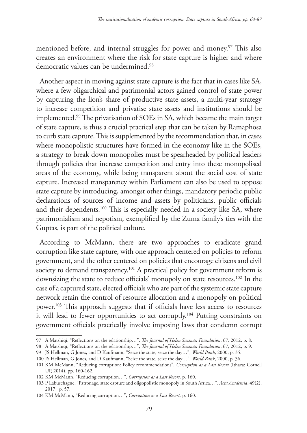mentioned before, and internal struggles for power and money.<sup>97</sup> This also creates an environment where the risk for state capture is higher and where democratic values can be undermined.<sup>98</sup>

Another aspect in moving against state capture is the fact that in cases like SA, where a few oligarchical and patrimonial actors gained control of state power by capturing the lion's share of productive state assets, a multi-year strategy to increase competition and privatise state assets and institutions should be implemented.99 The privatisation of SOEs in SA, which became the main target of state capture, is thus a crucial practical step that can be taken by Ramaphosa to curb state capture. This is supplemented by the recommendation that, in cases where monopolistic structures have formed in the economy like in the SOEs, a strategy to break down monopolies must be spearheaded by political leaders through policies that increase competition and entry into these monopolised areas of the economy, while being transparent about the social cost of state capture. Increased transparency within Parliament can also be used to oppose state capture by introducing, amongst other things, mandatory periodic public declarations of sources of income and assets by politicians, public officials and their dependents.<sup>100</sup> This is especially needed in a society like SA, where patrimonialism and nepotism, exemplified by the Zuma family's ties with the Guptas, is part of the political culture.

According to McMann, there are two approaches to eradicate grand corruption like state capture, with one approach centered on policies to reform government, and the other centered on policies that encourage citizens and civil society to demand transparency.<sup>101</sup> A practical policy for government reform is downsizing the state to reduce officials' monopoly on state resources.<sup>102</sup> In the case of a captured state, elected officials who are part of the systemic state capture network retain the control of resource allocation and a monopoly on political power.103 This approach suggests that if officials have less access to resources it will lead to fewer opportunities to act corruptly.104 Putting constraints on government officials practically involve imposing laws that condemn corrupt

<sup>97</sup> A Matshiqi, "Reflections on the relationship…", *The Journal of Helen Suzman Foundation*, 67, 2012, p. 8.

<sup>98</sup> A Matshiqi, "Reflections on the relationship…", *The Journal of Helen Suzman Foundation*, 67, 2012, p. 9.

<sup>99</sup> JS Hellman, G Jones, and D Kaufmann, "Seize the state, seize the day…", *World Bank*, 2000, p. 35.

<sup>100</sup> JS Hellman, G Jones, and D Kaufmann, "Seize the state, seize the day…", *World Bank*, 2000, p. 36.

<sup>101</sup> KM McMann, "Reducing corruption: Policy recommendations", *Corruption as a Last Resort* (Ithaca: Cornell UP, 2014), pp. 160-162.

<sup>102</sup> KM McMann, "Reducing corruption…", *Corruption as a Last Resort,* p. 160.

<sup>103</sup> P Labuschagne, "Patronage, state capture and oligopolistic monopoly in South Africa…", *Acta Academia*, 49(2), 2017, p. 57.

<sup>104</sup> KM McMann, "Reducing corruption…", *Corruption as a Last Resort,* p. 160.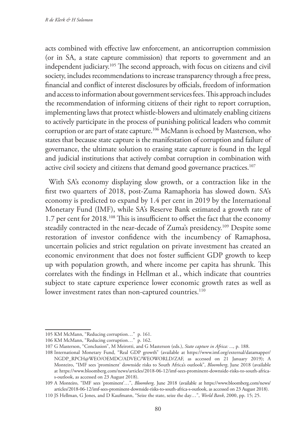acts combined with effective law enforcement, an anticorruption commission (or in SA, a state capture commission) that reports to government and an independent judiciary.105 The second approach, with focus on citizens and civil society, includes recommendations to increase transparency through a free press, financial and conflict of interest disclosures by officials, freedom of information and access to information about government services fees. This approach includes the recommendation of informing citizens of their right to report corruption, implementing laws that protect whistle-blowers and ultimately enabling citizens to actively participate in the process of punishing political leaders who commit corruption or are part of state capture.<sup>106</sup> McMann is echoed by Masterson, who states that because state capture is the manifestation of corruption and failure of governance, the ultimate solution to erasing state capture is found in the legal and judicial institutions that actively combat corruption in combination with active civil society and citizens that demand good governance practices.<sup>107</sup>

With SA's economy displaying slow growth, or a contraction like in the first two quarters of 2018, post-Zuma Ramaphoria has slowed down. SA's economy is predicted to expand by 1.4 per cent in 2019 by the International Monetary Fund (IMF), while SA's Reserve Bank estimated a growth rate of 1.7 per cent for 2018.108 This is insufficient to offset the fact that the economy steadily contracted in the near-decade of Zuma's presidency.<sup>109</sup> Despite some restoration of investor confidence with the incumbency of Ramaphosa, uncertain policies and strict regulation on private investment has created an economic environment that does not foster sufficient GDP growth to keep up with population growth, and where income per capita has shrunk. This correlates with the findings in Hellman et al., which indicate that countries subject to state capture experience lower economic growth rates as well as lower investment rates than non-captured countries.<sup>110</sup>

<sup>105</sup> KM McMann, "Reducing corruption…" p. 161.

<sup>106</sup> KM McMann, "Reducing corruption…" p. 162.

<sup>107</sup> G Masterson, "Conclusion", M Meirotti, and G Masterson (eds.), *State capture in Africa: ...,* p. 188.

<sup>108</sup> International Monetary Fund, "Real GDP growth" (available at https://www.imf.org/external/datamapper/ NGDP\_RPCH@WEO/OEMDC/ADVEC/WEOWORLD/ZAF, as accessed on 21 January 2019); A Monteiro, "IMF sees 'prominent' downside risks to South Africa's outlook", *Bloomberg*, June 2018 (available at https://www.bloomberg.com/news/articles/2018-06-12/imf-sees-prominent-downside-risks-to-south-africas-outlook, as accessed on 23 August 2018).

<sup>109</sup> A Monteiro, "IMF sees 'prominent'…", *Bloomberg*, June 2018 (available at https://www.bloomberg.com/news/ articles/2018-06-12/imf-sees-prominent-downside-risks-to-south-africa-s-outlook, as accessed on 23 August 2018).

<sup>110</sup> JS Hellman, G Jones, and D Kaufmann, "Seize the state, seize the day…", *World Bank*, 2000, pp. 15; 25.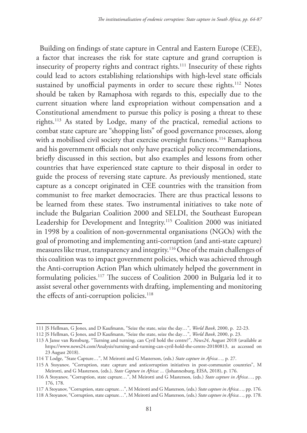Building on findings of state capture in Central and Eastern Europe (CEE), a factor that increases the risk for state capture and grand corruption is insecurity of property rights and contract rights.<sup>111</sup> Insecurity of these rights could lead to actors establishing relationships with high-level state officials sustained by unofficial payments in order to secure these rights.<sup>112</sup> Notes should be taken by Ramaphosa with regards to this, especially due to the current situation where land expropriation without compensation and a Constitutional amendment to pursue this policy is posing a threat to these rights.113 As stated by Lodge, many of the practical, remedial actions to combat state capture are "shopping lists" of good governance processes, along with a mobilised civil society that exercise oversight functions.<sup>114</sup> Ramaphosa and his government officials not only have practical policy recommendations, briefly discussed in this section, but also examples and lessons from other countries that have experienced state capture to their disposal in order to guide the process of reversing state capture. As previously mentioned, state capture as a concept originated in CEE countries with the transition from communist to free market democracies. There are thus practical lessons to be learned from these states. Two instrumental initiatives to take note of include the Bulgarian Coalition 2000 and SELDI, the Southeast European Leadership for Development and Integrity.115 Coalition 2000 was initiated in 1998 by a coalition of non-governmental organisations (NGOs) with the goal of promoting and implementing anti-corruption (and anti-state capture) measures like trust, transparency and integrity.116 One of the main challenges of this coalition was to impact government policies, which was achieved through the Anti-corruption Action Plan which ultimately helped the government in formulating policies.<sup>117</sup> The success of Coalition 2000 in Bulgaria led it to assist several other governments with drafting, implementing and monitoring the effects of anti-corruption policies.<sup>118</sup>

<sup>111</sup> JS Hellman, G Jones, and D Kaufmann, "Seize the state, seize the day…", *World Bank*, 2000, p. 22-23.

<sup>112</sup> JS Hellman, G Jones, and D Kaufmann, "Seize the state, seize the day…", *World Bank*, 2000, p. 23.

<sup>113</sup> A Janse van Rensburg, "Turning and turning, can Cyril hold the centre?", *News24*, August 2018 (available at https://www.news24.com/Analysis/turning-and-turning-can-cyril-hold-the-centre-20180813, as accessed on 23 August 2018).

<sup>114</sup> T Lodge, "State Capture…", M Meirotti and G Masterson, (eds.) *State capture in Africa…,* p. 27.

<sup>115</sup> A Stoyanov, "Corruption, state capture and anticorruption initiatives in post-communist countries", M Meirotti, and G Masterson, (eds.), *State Capture in Africa: ...* (Johannesburg, EISA, 2018), p. 176.

<sup>116</sup> A Stoyanov, "Corruption, state capture…", M Meirotti and G Masterson, (eds.) *State capture in Africa…,* pp. 176, 178.

<sup>117</sup> A Stoyanov, "Corruption, state capture…", M Meirotti and G Masterson, (eds.) *State capture in Africa…,* pp. 176.

<sup>118</sup> A Stoyanov, "Corruption, state capture…", M Meirotti and G Masterson, (eds.) *State capture in Africa…,* pp. 178.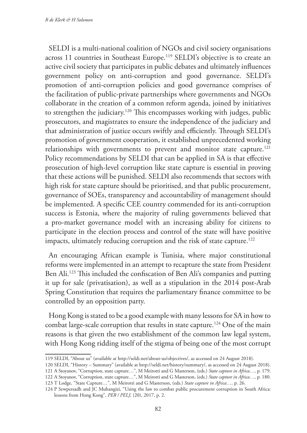SELDI is a multi-national coalition of NGOs and civil society organisations across 11 countries in Southeast Europe.<sup>119</sup> SELDI's objective is to create an active civil society that participates in public debates and ultimately influences government policy on anti-corruption and good governance. SELDI's promotion of anti-corruption policies and good governance comprises of the facilitation of public-private partnerships where governments and NGOs collaborate in the creation of a common reform agenda, joined by initiatives to strengthen the judiciary.120 This encompasses working with judges, public prosecutors, and magistrates to ensure the independence of the judiciary and that administration of justice occurs swiftly and efficiently. Through SELDI's promotion of government cooperation, it established unprecedented working relationships with governments to prevent and monitor state capture.<sup>121</sup> Policy recommendations by SELDI that can be applied in SA is that effective prosecution of high-level corruption like state capture is essential in proving that these actions will be punished. SELDI also recommends that sectors with high risk for state capture should be prioritised, and that public procurement, governance of SOEs, transparency and accountability of management should be implemented. A specific CEE country commended for its anti-corruption success is Estonia, where the majority of ruling governments believed that a pro-market governance model with an increasing ability for citizens to participate in the election process and control of the state will have positive impacts, ultimately reducing corruption and the risk of state capture.<sup>122</sup>

An encouraging African example is Tunisia, where major constitutional reforms were implemented in an attempt to recapture the state from President Ben Ali.123 This included the confiscation of Ben Ali's companies and putting it up for sale (privatisation), as well as a stipulation in the 2014 post-Arab Spring Constitution that requires the parliamentary finance committee to be controlled by an opposition party.

Hong Kong is stated to be a good example with many lessons for SA in how to combat large-scale corruption that results in state capture.<sup>124</sup> One of the main reasons is that given the two establishment of the common law legal system, with Hong Kong ridding itself of the stigma of being one of the most corrupt

- 120 SELDI, "History Summary" (available at http://seldi.net/history/summary/, as accessed on 24 August 2018).
- 121 A Stoyanov, "Corruption, state capture…", M Meirotti and G Masterson, (eds.) *State capture in Africa…,* p. 179.
- 122 A Stoyanov, "Corruption, state capture…", M Meirotti and G Masterson, (eds.) *State capture in Africa…,* p. 180.
- 123 T Lodge, "State Capture…", M Meirotti and G Masterson, (eds.) *State capture in Africa…,* p. 26.

<sup>119</sup> SELDI, "About us" (available at http://seldi.net/about-us/objectives/, as accessed on 24 August 2018).

<sup>124</sup> P Sewpersadh and JC Mubangizi, "Using the law to combat public procurement corruption in South Africa: lessons from Hong Kong", *PER / PELJ,* (20), 2017, p. 2.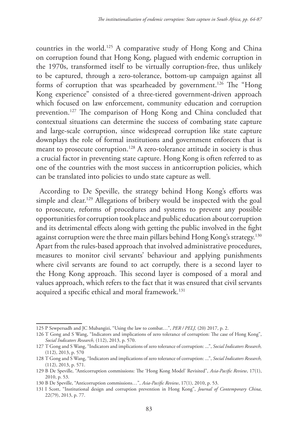countries in the world.125 A comparative study of Hong Kong and China on corruption found that Hong Kong, plagued with endemic corruption in the 1970s, transformed itself to be virtually corruption-free, thus unlikely to be captured, through a zero-tolerance, bottom-up campaign against all forms of corruption that was spearheaded by government.<sup>126</sup> The "Hong Kong experience" consisted of a three-tiered government-driven approach which focused on law enforcement, community education and corruption prevention.<sup>127</sup> The comparison of Hong Kong and China concluded that contextual situations can determine the success of combating state capture and large-scale corruption, since widespread corruption like state capture downplays the role of formal institutions and government enforcers that is meant to prosecute corruption.<sup>128</sup> A zero-tolerance attitude in society is thus a crucial factor in preventing state capture. Hong Kong is often referred to as one of the countries with the most success in anticorruption policies, which can be translated into policies to undo state capture as well.

According to De Speville, the strategy behind Hong Kong's efforts was simple and clear.<sup>129</sup> Allegations of bribery would be inspected with the goal to prosecute, reforms of procedures and systems to prevent any possible opportunities for corruption took place and public education about corruption and its detrimental effects along with getting the public involved in the fight against corruption were the three main pillars behind Hong Kong's strategy.130 Apart from the rules-based approach that involved administrative procedures, measures to monitor civil servants' behaviour and applying punishments where civil servants are found to act corruptly, there is a second layer to the Hong Kong approach. This second layer is composed of a moral and values approach, which refers to the fact that it was ensured that civil servants acquired a specific ethical and moral framework.<sup>131</sup>

<sup>125</sup> P Sewpersadh and JC Mubangizi, "Using the law to combat…", *PER / PELJ,* (20) 2017, p. 2.

<sup>126</sup> T Gong and S Wang, "Indicators and implications of zero tolerance of corruption: The case of Hong Kong", *Social Indicators Research,* (112), 2013, p. 570.

<sup>127</sup> T Gong and S Wang, "Indicators and implications of zero tolerance of corruption: ...", *Social Indicators Research,* (112), 2013, p. 570

<sup>128</sup> T Gong and S Wang, "Indicators and implications of zero tolerance of corruption: ...", *Social Indicators Research,* (112), 2013, p. 571.

<sup>129</sup> B De Speville, "Anticorruption commissions: The 'Hong Kong Model' Revisited", *Asia-Pacific Review*, 17(1), 2010, p. 53.

<sup>130</sup> B De Speville, "Anticorruption commissions…", *Asia-Pacific Review*, 17(1), 2010, p. 53.

<sup>131</sup> I Scott, "Institutional design and corruption prevention in Hong Kong", *Journal of Contemporary China*, 22(79), 2013, p. 77.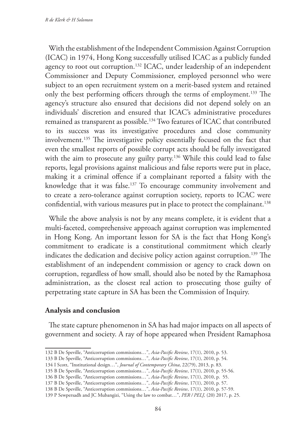With the establishment of the Independent Commission Against Corruption (ICAC) in 1974, Hong Kong successfully utilised ICAC as a publicly funded agency to root out corruption.<sup>132</sup> ICAC, under leadership of an independent Commissioner and Deputy Commissioner, employed personnel who were subject to an open recruitment system on a merit-based system and retained only the best performing officers through the terms of employment.133 The agency's structure also ensured that decisions did not depend solely on an individuals' discretion and ensured that ICAC's administrative procedures remained as transparent as possible.134 Two features of ICAC that contributed to its success was its investigative procedures and close community involvement.135 The investigative policy essentially focused on the fact that even the smallest reports of possible corrupt acts should be fully investigated with the aim to prosecute any guilty party.<sup>136</sup> While this could lead to false reports, legal provisions against malicious and false reports were put in place, making it a criminal offence if a complainant reported a falsity with the knowledge that it was false.<sup>137</sup> To encourage community involvement and to create a zero-tolerance against corruption society, reports to ICAC were confidential, with various measures put in place to protect the complainant.<sup>138</sup>

While the above analysis is not by any means complete, it is evident that a multi-faceted, comprehensive approach against corruption was implemented in Hong Kong. An important lesson for SA is the fact that Hong Kong's commitment to eradicate is a constitutional commitment which clearly indicates the dedication and decisive policy action against corruption.<sup>139</sup> The establishment of an independent commission or agency to crack down on corruption, regardless of how small, should also be noted by the Ramaphosa administration, as the closest real action to prosecuting those guilty of perpetrating state capture in SA has been the Commission of Inquiry.

# **Analysis and conclusion**

The state capture phenomenon in SA has had major impacts on all aspects of government and society. A ray of hope appeared when President Ramaphosa

<sup>132</sup> B De Speville, "Anticorruption commissions…", *Asia-Pacific Review*, 17(1), 2010, p. 53.

<sup>133</sup> B De Speville, "Anticorruption commissions…", *Asia-Pacific Review*, 17(1), 2010, p. 54.

<sup>134</sup> I Scott, "Institutional design…", *Journal of Contemporary China*, 22(79), 2013, p. 83.

<sup>135</sup> B De Speville, "Anticorruption commissions…", *Asia-Pacific Review*, 17(1), 2010, p. 55-56.

<sup>136</sup> B De Speville, "Anticorruption commissions…", *Asia-Pacific Review*, 17(1), 2010, p. 55.

<sup>137</sup> B De Speville, "Anticorruption commissions…", *Asia-Pacific Review*, 17(1), 2010, p. 57.

<sup>138</sup> B De Speville, "Anticorruption commissions…", *Asia-Pacific Review*, 17(1), 2010, p. 57-59.

<sup>139</sup> P Sewpersadh and JC Mubangizi, "Using the law to combat…", *PER / PELJ,* (20) 2017, p. 25.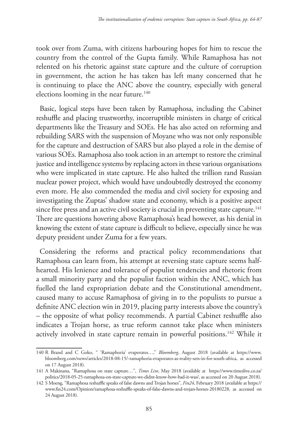took over from Zuma, with citizens harbouring hopes for him to rescue the country from the control of the Gupta family. While Ramaphosa has not relented on his rhetoric against state capture and the culture of corruption in government, the action he has taken has left many concerned that he is continuing to place the ANC above the country, especially with general elections looming in the near future.<sup>140</sup>

Basic, logical steps have been taken by Ramaphosa, including the Cabinet reshuffle and placing trustworthy, incorruptible ministers in charge of critical departments like the Treasury and SOEs. He has also acted on reforming and rebuilding SARS with the suspension of Moyane who was not only responsible for the capture and destruction of SARS but also played a role in the demise of various SOEs. Ramaphosa also took action in an attempt to restore the criminal justice and intelligence systems by replacing actors in these various organisations who were implicated in state capture. He also halted the trillion rand Russian nuclear power project, which would have undoubtedly destroyed the economy even more. He also commended the media and civil society for exposing and investigating the Zuptas' shadow state and economy, which is a positive aspect since free press and an active civil society is crucial in preventing state capture.<sup>141</sup> There are questions hovering above Ramaphosa's head however, as his denial in knowing the extent of state capture is difficult to believe, especially since he was deputy president under Zuma for a few years.

Considering the reforms and practical policy recommendations that Ramaphosa can learn from, his attempt at reversing state capture seems halfhearted. His lenience and tolerance of populist tendencies and rhetoric from a small minority party and the populist faction within the ANC, which has fuelled the land expropriation debate and the Constitutional amendment, caused many to accuse Ramaphosa of giving in to the populists to pursue a definite ANC election win in 2019, placing party interests above the country's – the opposite of what policy recommends. A partial Cabinet reshuffle also indicates a Trojan horse, as true reform cannot take place when ministers actively involved in state capture remain in powerful positions.<sup>142</sup> While it

<sup>140</sup> R Brand and C Goko, " 'Ramaphoria' evaporates…," *Bloomberg*, August 2018 (available at https://www. bloomberg.com/news/articles/2018-08-15/-ramaphoria-evaporates-as-reality-sets-in-for-south-africa, as accessed on 17 August 2018).

<sup>141</sup> A Makinana, "Ramaphosa on state capture…", *Times Live*, May 2018 (available at https://www.timeslive.co.za/ politics/2018-05-25-ramaphosa-on-state-capture-we-didnt-know-how-bad-it-was/, as accessed on 20 August 2018).

<sup>142</sup> S Moeng, "Ramaphosa reshuffle speaks of false dawns and Trojan horses", *Fin24*, February 2018 (available at https:// www.fin24.com/Opinion/ramaphosa-reshuffle-speaks-of-false-dawns-and-trojan-horses-20180228, as accessed on 24 August 2018).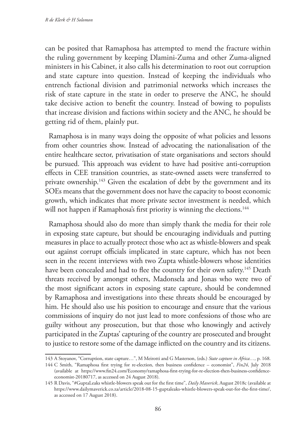can be posited that Ramaphosa has attempted to mend the fracture within the ruling government by keeping Dlamini-Zuma and other Zuma-aligned ministers in his Cabinet, it also calls his determination to root out corruption and state capture into question. Instead of keeping the individuals who entrench factional division and patrimonial networks which increases the risk of state capture in the state in order to preserve the ANC, he should take decisive action to benefit the country. Instead of bowing to populists that increase division and factions within society and the ANC, he should be getting rid of them, plainly put.

Ramaphosa is in many ways doing the opposite of what policies and lessons from other countries show. Instead of advocating the nationalisation of the entire healthcare sector, privatisation of state organisations and sectors should be pursued. This approach was evident to have had positive anti-corruption effects in CEE transition countries, as state-owned assets were transferred to private ownership.143 Given the escalation of debt by the government and its SOEs means that the government does not have the capacity to boost economic growth, which indicates that more private sector investment is needed, which will not happen if Ramaphosa's first priority is winning the elections.<sup>144</sup>

Ramaphosa should also do more than simply thank the media for their role in exposing state capture, but should be encouraging individuals and putting measures in place to actually protect those who act as whistle-blowers and speak out against corrupt officials implicated in state capture, which has not been seen in the recent interviews with two Zupta whistle-blowers whose identities have been concealed and had to flee the country for their own safety.<sup>145</sup> Death threats received by amongst others, Madonsela and Jonas who were two of the most significant actors in exposing state capture, should be condemned by Ramaphosa and investigations into these threats should be encouraged by him. He should also use his position to encourage and ensure that the various commissions of inquiry do not just lead to more confessions of those who are guilty without any prosecution, but that those who knowingly and actively participated in the Zuptas' capturing of the country are prosecuted and brought to justice to restore some of the damage inflicted on the country and its citizens.

<sup>143</sup> A Stoyanov, "Corruption, state capture…", M Meirotti and G Masterson, (eds.) *State capture in Africa…,* p. 168.

<sup>144</sup> C Smith, "Ramaphosa first trying for re-election, then business confidence – economist", *Fin24*, July 2018 (available at https://www.fin24.com/Economy/ramaphosa-first-trying-for-re-election-then-business-confidenceeconomist-20180717, as accessed on 24 August 2018).

<sup>145</sup> R Davis, "#GuptaLeaks whistle-blowers speak out for the first time", *Daily Maverick*, August 2018c (available at https://www.dailymaverick.co.za/article/2018-08-15-guptaleaks-whistle-blowers-speak-out-for-the-first-time/, as accessed on 17 August 2018).